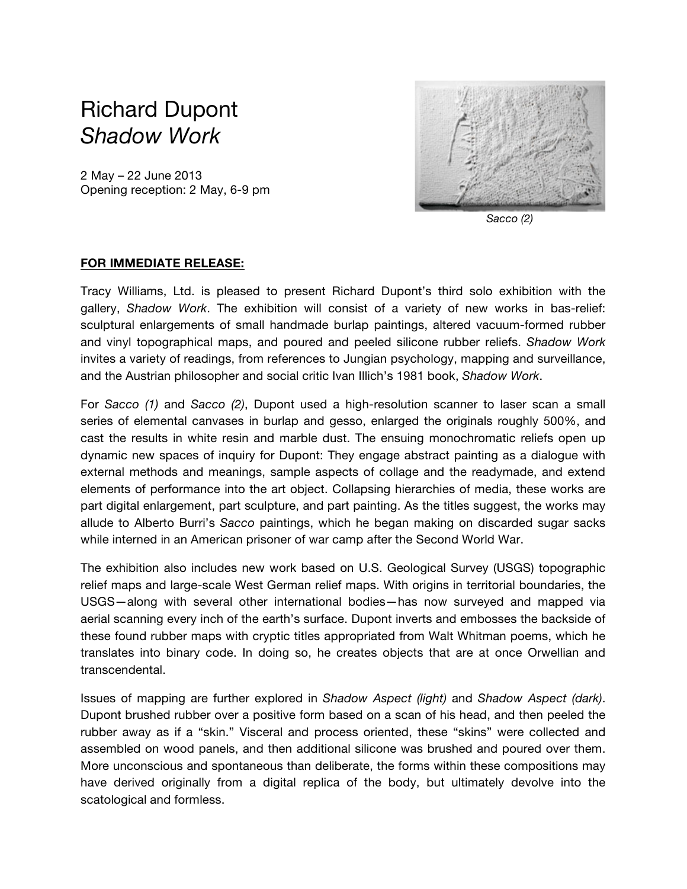## Richard Dupont *Shadow Work*

2 May – 22 June 2013 Opening reception: 2 May, 6-9 pm



 *Sacco (2)*

## **FOR IMMEDIATE RELEASE:**

Tracy Williams, Ltd. is pleased to present Richard Dupont's third solo exhibition with the gallery, *Shadow Work*. The exhibition will consist of a variety of new works in bas-relief: sculptural enlargements of small handmade burlap paintings, altered vacuum-formed rubber and vinyl topographical maps, and poured and peeled silicone rubber reliefs. *Shadow Work* invites a variety of readings, from references to Jungian psychology, mapping and surveillance, and the Austrian philosopher and social critic Ivan Illich's 1981 book, *Shadow Work*.

For *Sacco (1)* and *Sacco (2)*, Dupont used a high-resolution scanner to laser scan a small series of elemental canvases in burlap and gesso, enlarged the originals roughly 500%, and cast the results in white resin and marble dust. The ensuing monochromatic reliefs open up dynamic new spaces of inquiry for Dupont: They engage abstract painting as a dialogue with external methods and meanings, sample aspects of collage and the readymade, and extend elements of performance into the art object. Collapsing hierarchies of media, these works are part digital enlargement, part sculpture, and part painting. As the titles suggest, the works may allude to Alberto Burri's *Sacco* paintings, which he began making on discarded sugar sacks while interned in an American prisoner of war camp after the Second World War.

The exhibition also includes new work based on U.S. Geological Survey (USGS) topographic relief maps and large-scale West German relief maps. With origins in territorial boundaries, the USGS—along with several other international bodies—has now surveyed and mapped via aerial scanning every inch of the earth's surface. Dupont inverts and embosses the backside of these found rubber maps with cryptic titles appropriated from Walt Whitman poems, which he translates into binary code. In doing so, he creates objects that are at once Orwellian and transcendental.

Issues of mapping are further explored in *Shadow Aspect (light)* and *Shadow Aspect (dark)*. Dupont brushed rubber over a positive form based on a scan of his head, and then peeled the rubber away as if a "skin." Visceral and process oriented, these "skins" were collected and assembled on wood panels, and then additional silicone was brushed and poured over them. More unconscious and spontaneous than deliberate, the forms within these compositions may have derived originally from a digital replica of the body, but ultimately devolve into the scatological and formless.